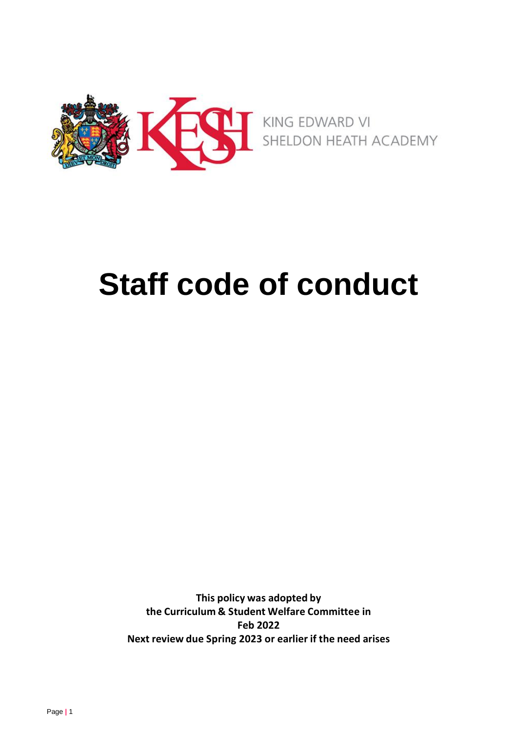

# **Staff code of conduct**

**This policy was adopted by the Curriculum & Student Welfare Committee in Feb 2022 Next review due Spring 2023 or earlier if the need arises**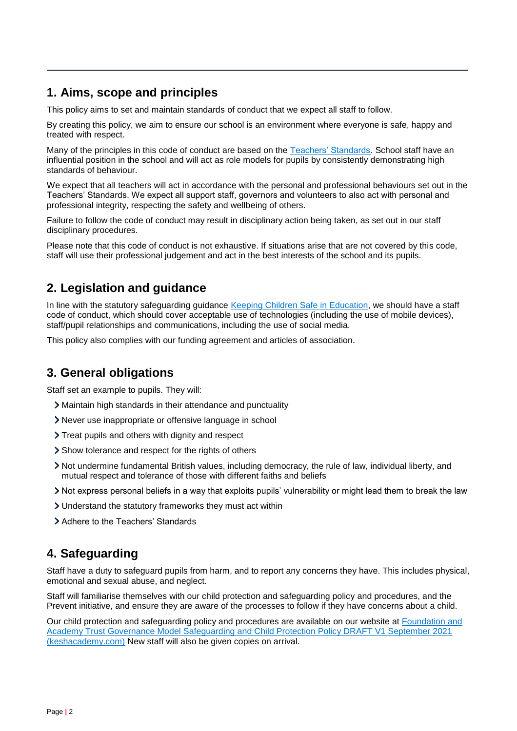## **1. Aims, scope and principles**

This policy aims to set and maintain standards of conduct that we expect all staff to follow.

By creating this policy, we aim to ensure our school is an environment where everyone is safe, happy and treated with respect.

Many of the principles in this code of conduct are based on the [Teachers' Standards.](https://www.gov.uk/government/publications/teachers-standards) School staff have an influential position in the school and will act as role models for pupils by consistently demonstrating high standards of behaviour.

We expect that all teachers will act in accordance with the personal and professional behaviours set out in the Teachers' Standards. We expect all support staff, governors and volunteers to also act with personal and professional integrity, respecting the safety and wellbeing of others.

Failure to follow the code of conduct may result in disciplinary action being taken, as set out in our staff disciplinary procedures.

Please note that this code of conduct is not exhaustive. If situations arise that are not covered by this code, staff will use their professional judgement and act in the best interests of the school and its pupils.

# **2. Legislation and guidance**

In line with the statutory safeguarding guidance [Keeping Children Safe in Education,](https://www.gov.uk/government/publications/keeping-children-safe-in-education--2) we should have a staff code of conduct, which should cover acceptable use of technologies (including the use of mobile devices), staff/pupil relationships and communications, including the use of social media.

This policy also complies with our funding agreement and articles of association.

# **3. General obligations**

Staff set an example to pupils. They will:

- Maintain high standards in their attendance and punctuality
- Never use inappropriate or offensive language in school
- Treat pupils and others with dignity and respect
- Show tolerance and respect for the rights of others
- Not undermine fundamental British values, including democracy, the rule of law, individual liberty, and mutual respect and tolerance of those with different faiths and beliefs
- Not express personal beliefs in a way that exploits pupils' vulnerability or might lead them to break the law
- Understand the statutory frameworks they must act within
- Adhere to the Teachers' Standards

#### **4. Safeguarding**

Staff have a duty to safeguard pupils from harm, and to report any concerns they have. This includes physical, emotional and sexual abuse, and neglect.

Staff will familiarise themselves with our child protection and safeguarding policy and procedures, and the Prevent initiative, and ensure they are aware of the processes to follow if they have concerns about a child.

Our child protection and safeguarding policy and procedures are available on our website at [Foundation and](https://www.keshacademy.com/media/docs/policies/KESH-Safeguarding-and-Child-Protection-Policy.pdf)  [Academy Trust Governance Model Safeguarding and Child Protection Policy DRAFT V1 September 2021](https://www.keshacademy.com/media/docs/policies/KESH-Safeguarding-and-Child-Protection-Policy.pdf)  [\(keshacademy.com\)](https://www.keshacademy.com/media/docs/policies/KESH-Safeguarding-and-Child-Protection-Policy.pdf) New staff will also be given copies on arrival.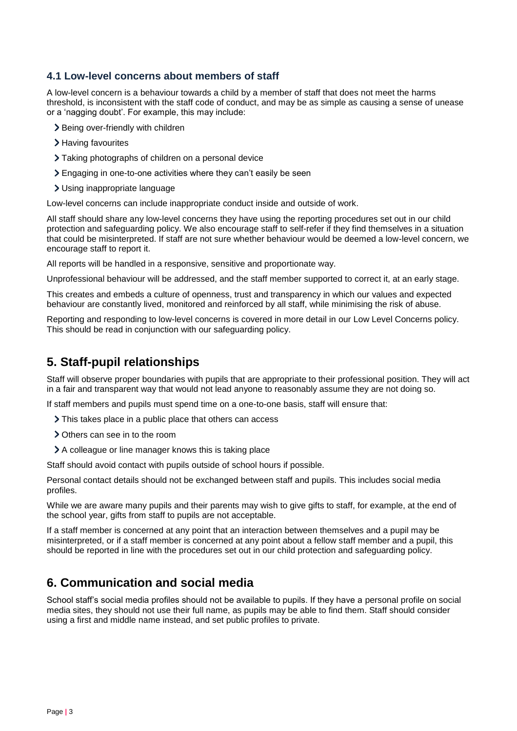#### **4.1 Low-level concerns about members of staff**

A low-level concern is a behaviour towards a child by a member of staff that does not meet the harms threshold, is inconsistent with the staff code of conduct, and may be as simple as causing a sense of unease or a 'nagging doubt'. For example, this may include:

- > Being over-friendly with children
- > Having favourites
- Taking photographs of children on a personal device
- Engaging in one-to-one activities where they can't easily be seen
- Using inappropriate language

Low-level concerns can include inappropriate conduct inside and outside of work.

All staff should share any low-level concerns they have using the reporting procedures set out in our child protection and safeguarding policy. We also encourage staff to self-refer if they find themselves in a situation that could be misinterpreted. If staff are not sure whether behaviour would be deemed a low-level concern, we encourage staff to report it.

All reports will be handled in a responsive, sensitive and proportionate way.

Unprofessional behaviour will be addressed, and the staff member supported to correct it, at an early stage.

This creates and embeds a culture of openness, trust and transparency in which our values and expected behaviour are constantly lived, monitored and reinforced by all staff, while minimising the risk of abuse.

Reporting and responding to low-level concerns is covered in more detail in our Low Level Concerns policy. This should be read in conjunction with our safeguarding policy.

## **5. Staff-pupil relationships**

Staff will observe proper boundaries with pupils that are appropriate to their professional position. They will act in a fair and transparent way that would not lead anyone to reasonably assume they are not doing so.

If staff members and pupils must spend time on a one-to-one basis, staff will ensure that:

- > This takes place in a public place that others can access
- Others can see in to the room
- A colleague or line manager knows this is taking place

Staff should avoid contact with pupils outside of school hours if possible.

Personal contact details should not be exchanged between staff and pupils. This includes social media profiles.

While we are aware many pupils and their parents may wish to give gifts to staff, for example, at the end of the school year, gifts from staff to pupils are not acceptable.

If a staff member is concerned at any point that an interaction between themselves and a pupil may be misinterpreted, or if a staff member is concerned at any point about a fellow staff member and a pupil, this should be reported in line with the procedures set out in our child protection and safeguarding policy.

#### **6. Communication and social media**

School staff's social media profiles should not be available to pupils. If they have a personal profile on social media sites, they should not use their full name, as pupils may be able to find them. Staff should consider using a first and middle name instead, and set public profiles to private.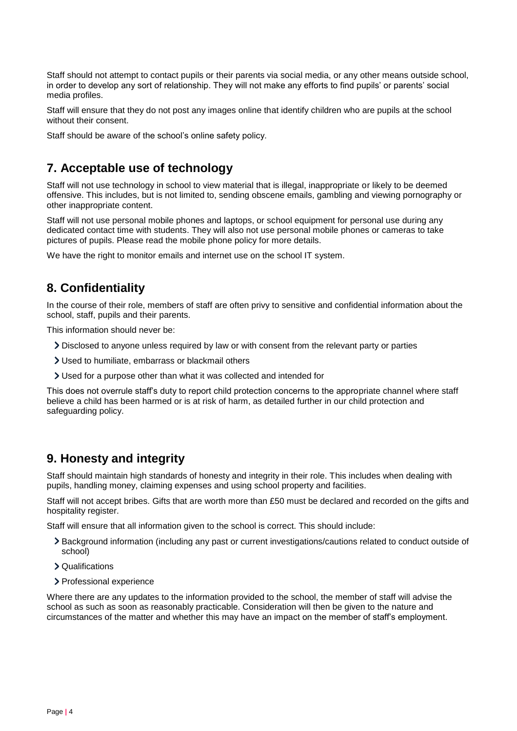Staff should not attempt to contact pupils or their parents via social media, or any other means outside school, in order to develop any sort of relationship. They will not make any efforts to find pupils' or parents' social media profiles.

Staff will ensure that they do not post any images online that identify children who are pupils at the school without their consent.

Staff should be aware of the school's online safety policy.

## **7. Acceptable use of technology**

Staff will not use technology in school to view material that is illegal, inappropriate or likely to be deemed offensive. This includes, but is not limited to, sending obscene emails, gambling and viewing pornography or other inappropriate content.

Staff will not use personal mobile phones and laptops, or school equipment for personal use during any dedicated contact time with students. They will also not use personal mobile phones or cameras to take pictures of pupils. Please read the mobile phone policy for more details.

We have the right to monitor emails and internet use on the school IT system.

## **8. Confidentiality**

In the course of their role, members of staff are often privy to sensitive and confidential information about the school, staff, pupils and their parents.

This information should never be:

- Disclosed to anyone unless required by law or with consent from the relevant party or parties
- Used to humiliate, embarrass or blackmail others
- Used for a purpose other than what it was collected and intended for

This does not overrule staff's duty to report child protection concerns to the appropriate channel where staff believe a child has been harmed or is at risk of harm, as detailed further in our child protection and safeguarding policy.

#### **9. Honesty and integrity**

Staff should maintain high standards of honesty and integrity in their role. This includes when dealing with pupils, handling money, claiming expenses and using school property and facilities.

Staff will not accept bribes. Gifts that are worth more than £50 must be declared and recorded on the gifts and hospitality register.

Staff will ensure that all information given to the school is correct. This should include:

- Background information (including any past or current investigations/cautions related to conduct outside of school)
- Qualifications
- > Professional experience

Where there are any updates to the information provided to the school, the member of staff will advise the school as such as soon as reasonably practicable. Consideration will then be given to the nature and circumstances of the matter and whether this may have an impact on the member of staff's employment.